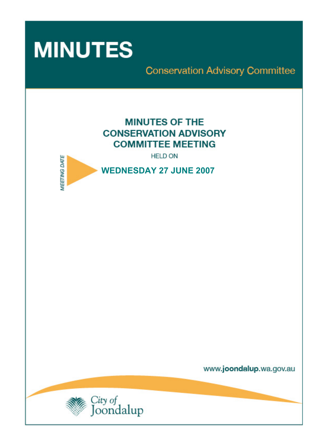

**Conservation Advisory Committee** 

# **MINUTES OF THE CONSERVATION ADVISORY COMMITTEE MEETING**

**HELD ON** 



www.joondalup.wa.gov.au

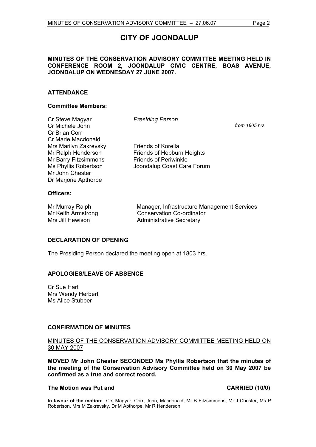# **CITY OF JOONDALUP**

#### **MINUTES OF THE CONSERVATION ADVISORY COMMITTEE MEETING HELD IN CONFERENCE ROOM 2, JOONDALUP CIVIC CENTRE, BOAS AVENUE, JOONDALUP ON WEDNESDAY 27 JUNE 2007.**

#### **ATTENDANCE**

#### **Committee Members:**

| Cr Steve Magyar       | <b>Presiding Person</b>      |               |
|-----------------------|------------------------------|---------------|
| Cr Michele John       |                              | from 1805 hrs |
| Cr Brian Corr         |                              |               |
| Cr Marie Macdonald    |                              |               |
| Mrs Marilyn Zakrevsky | <b>Friends of Korella</b>    |               |
| Mr Ralph Henderson    | Friends of Hepburn Heights   |               |
| Mr Barry Fitzsimmons  | <b>Friends of Periwinkle</b> |               |
| Ms Phyllis Robertson  | Joondalup Coast Care Forum   |               |
| Mr John Chester       |                              |               |
| Dr Marjorie Apthorpe  |                              |               |

#### **Officers:**

Mr Murray Ralph Manager, Infrastructure Management Services Mr Keith Armstrong Conservation Co-ordinator Mrs Jill Hewison **Administrative Secretary** 

#### **DECLARATION OF OPENING**

The Presiding Person declared the meeting open at 1803 hrs.

#### **APOLOGIES/LEAVE OF ABSENCE**

Cr Sue Hart Mrs Wendy Herbert Ms Alice Stubber

#### **CONFIRMATION OF MINUTES**

#### MINUTES OF THE CONSERVATION ADVISORY COMMITTEE MEETING HELD ON 30 MAY 2007

**MOVED Mr John Chester SECONDED Ms Phyllis Robertson that the minutes of the meeting of the Conservation Advisory Committee held on 30 May 2007 be confirmed as a true and correct record.** 

#### The Motion was Put and **CARRIED** (10/0)

**In favour of the motion:** Crs Magyar, Corr, John, Macdonald, Mr B Fitzsimmons, Mr J Chester, Ms P Robertson, Mrs M Zakrevsky, Dr M Apthorpe, Mr R Henderson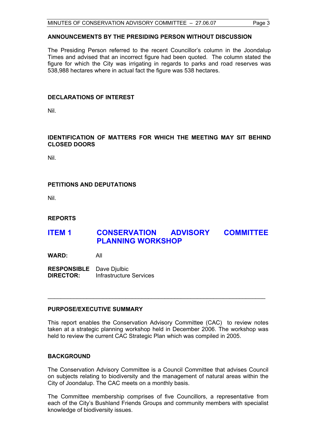### **ANNOUNCEMENTS BY THE PRESIDING PERSON WITHOUT DISCUSSION**

The Presiding Person referred to the recent Councillor's column in the Joondalup Times and advised that an incorrect figure had been quoted. The column stated the figure for which the City was irrigating in regards to parks and road reserves was 538,988 hectares where in actual fact the figure was 538 hectares.

#### **DECLARATIONS OF INTEREST**

Nil.

#### **IDENTIFICATION OF MATTERS FOR WHICH THE MEETING MAY SIT BEHIND CLOSED DOORS**

Nil.

### **PETITIONS AND DEPUTATIONS**

Nil.

#### **REPORTS**

## **ITEM 1 CONSERVATION ADVISORY COMMITTEE PLANNING WORKSHOP**

**WARD:** All

**RESPONSIBLE** Dave Djulbic **DIRECTOR:** Infrastructure Services

#### **PURPOSE/EXECUTIVE SUMMARY**

This report enables the Conservation Advisory Committee (CAC) to review notes taken at a strategic planning workshop held in December 2006. The workshop was held to review the current CAC Strategic Plan which was compiled in 2005.

\_\_\_\_\_\_\_\_\_\_\_\_\_\_\_\_\_\_\_\_\_\_\_\_\_\_\_\_\_\_\_\_\_\_\_\_\_\_\_\_\_\_\_\_\_\_\_\_\_\_\_\_\_\_\_\_\_\_\_\_\_\_\_\_\_\_\_

#### **BACKGROUND**

The Conservation Advisory Committee is a Council Committee that advises Council on subjects relating to biodiversity and the management of natural areas within the City of Joondalup. The CAC meets on a monthly basis.

The Committee membership comprises of five Councillors, a representative from each of the City's Bushland Friends Groups and community members with specialist knowledge of biodiversity issues.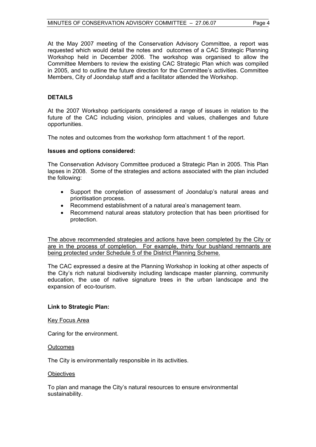At the May 2007 meeting of the Conservation Advisory Committee, a report was requested which would detail the notes and outcomes of a CAC Strategic Planning Workshop held in December 2006. The workshop was organised to allow the Committee Members to review the existing CAC Strategic Plan which was compiled in 2005, and to outline the future direction for the Committee's activities. Committee Members, City of Joondalup staff and a facilitator attended the Workshop.

#### **DETAILS**

At the 2007 Workshop participants considered a range of issues in relation to the future of the CAC including vision, principles and values, challenges and future opportunities.

The notes and outcomes from the workshop form attachment 1 of the report.

#### **Issues and options considered:**

The Conservation Advisory Committee produced a Strategic Plan in 2005. This Plan lapses in 2008. Some of the strategies and actions associated with the plan included the following:

- Support the completion of assessment of Joondalup's natural areas and prioritisation process.
- Recommend establishment of a natural area's management team.
- Recommend natural areas statutory protection that has been prioritised for protection.

The above recommended strategies and actions have been completed by the City or are in the process of completion. For example, thirty four bushland remnants are being protected under Schedule 5 of the District Planning Scheme.

The CAC expressed a desire at the Planning Workshop in looking at other aspects of the City's rich natural biodiversity including landscape master planning, community education, the use of native signature trees in the urban landscape and the expansion of eco-tourism.

#### **Link to Strategic Plan:**

#### Key Focus Area

Caring for the environment.

#### **Outcomes**

The City is environmentally responsible in its activities.

#### **Objectives**

To plan and manage the City's natural resources to ensure environmental sustainability.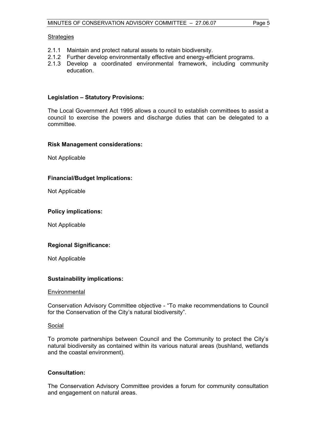#### **Strategies**

- 2.1.1 Maintain and protect natural assets to retain biodiversity.
- 2.1.2 Further develop environmentally effective and energy-efficient programs.
- 2.1.3 Develop a coordinated environmental framework, including community education.

#### **Legislation – Statutory Provisions:**

The Local Government Act 1995 allows a council to establish committees to assist a council to exercise the powers and discharge duties that can be delegated to a committee.

#### **Risk Management considerations:**

Not Applicable

#### **Financial/Budget Implications:**

Not Applicable

#### **Policy implications:**

Not Applicable

#### **Regional Significance:**

Not Applicable

#### **Sustainability implications:**

#### **Environmental**

Conservation Advisory Committee objective - "To make recommendations to Council for the Conservation of the City's natural biodiversity".

#### Social

To promote partnerships between Council and the Community to protect the City's natural biodiversity as contained within its various natural areas (bushland, wetlands and the coastal environment).

#### **Consultation:**

The Conservation Advisory Committee provides a forum for community consultation and engagement on natural areas.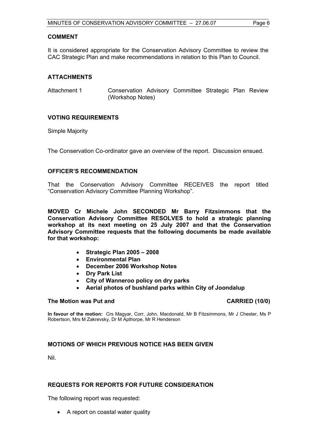#### **COMMENT**

It is considered appropriate for the Conservation Advisory Committee to review the CAC Strategic Plan and make recommendations in relation to this Plan to Council.

#### **ATTACHMENTS**

Attachment 1 Conservation Advisory Committee Strategic Plan Review (Workshop Notes)

#### **VOTING REQUIREMENTS**

Simple Majority

The Conservation Co-ordinator gave an overview of the report. Discussion ensued.

#### **OFFICER'S RECOMMENDATION**

That the Conservation Advisory Committee RECEIVES the report titled "Conservation Advisory Committee Planning Workshop".

**MOVED Cr Michele John SECONDED Mr Barry Fitzsimmons that the Conservation Advisory Committee RESOLVES to hold a strategic planning workshop at its next meeting on 25 July 2007 and that the Conservation Advisory Committee requests that the following documents be made available for that workshop:** 

- **Strategic Plan 2005 2008**
- **Environmental Plan**
- **December 2006 Workshop Notes**
- **Dry Park List**
- **City of Wanneroo policy on dry parks**
- **Aerial photos of bushland parks within City of Joondalup**

#### The Motion was Put and **CARRIED** (10/0)

**In favour of the motion:** Crs Magyar, Corr, John, Macdonald, Mr B Fitzsimmons, Mr J Chester, Ms P Robertson, Mrs M Zakrevsky, Dr M Apthorpe, Mr R Henderson

#### **MOTIONS OF WHICH PREVIOUS NOTICE HAS BEEN GIVEN**

Nil.

#### **REQUESTS FOR REPORTS FOR FUTURE CONSIDERATION**

The following report was requested:

• A report on coastal water quality